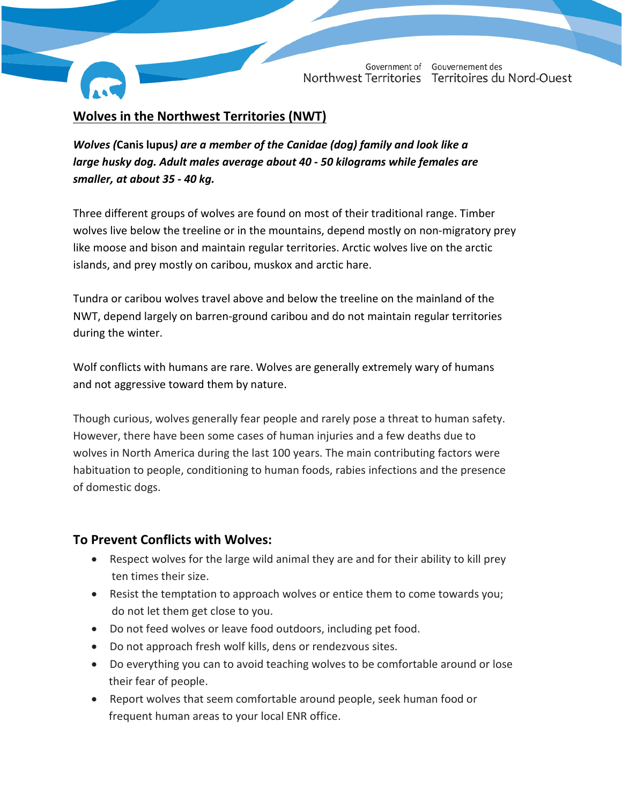Government of Gouvernement des Northwest Territories Territoires du Nord-Ouest

# **Wolves in the Northwest Territories (NWT)**

*Wolves (***Canis lupus***) are a member of the Canidae (dog) family and look like a large husky dog. Adult males average about 40 - 50 kilograms while females are smaller, at about 35 - 40 kg.*

Three different groups of wolves are found on most of their traditional range. Timber wolves live below the treeline or in the mountains, depend mostly on non-migratory prey like moose and bison and maintain regular territories. Arctic wolves live on the arctic islands, and prey mostly on caribou, muskox and arctic hare.

Tundra or caribou wolves travel above and below the treeline on the mainland of the NWT, depend largely on barren-ground caribou and do not maintain regular territories during the winter.

Wolf conflicts with humans are rare. Wolves are generally extremely wary of humans and not aggressive toward them by nature.

Though curious, wolves generally fear people and rarely pose a threat to human safety. However, there have been some cases of human injuries and a few deaths due to wolves in North America during the last 100 years. The main contributing factors were habituation to people, conditioning to human foods, rabies infections and the presence of domestic dogs.

## **To Prevent Conflicts with Wolves:**

- Respect wolves for the large wild animal they are and for their ability to kill prey ten times their size.
- Resist the temptation to approach wolves or entice them to come towards you; do not let them get close to you.
- Do not feed wolves or leave food outdoors, including pet food.
- Do not approach fresh wolf kills, dens or rendezvous sites.
- Do everything you can to avoid teaching wolves to be comfortable around or lose their fear of people.
- Report wolves that seem comfortable around people, seek human food or frequent human areas to your local ENR office.